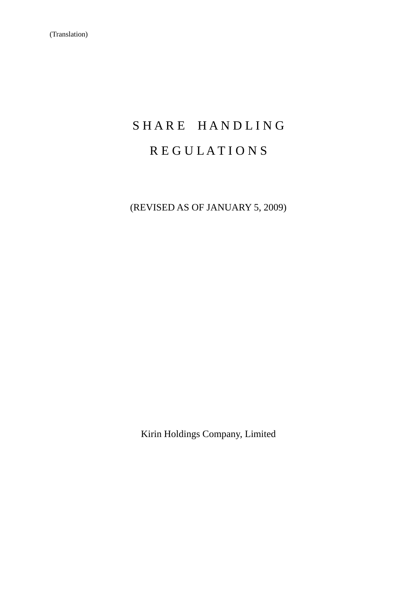# SHARE HANDLING R E G U L A T I O N S

(REVISED AS OF JANUARY 5, 2009)

Kirin Holdings Company, Limited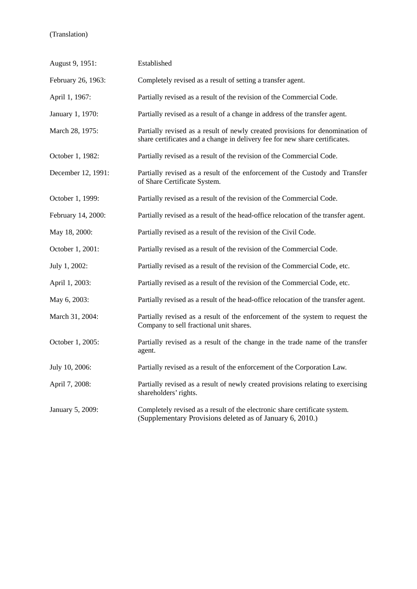| August 9, 1951:    | Established                                                                                                                                                  |
|--------------------|--------------------------------------------------------------------------------------------------------------------------------------------------------------|
| February 26, 1963: | Completely revised as a result of setting a transfer agent.                                                                                                  |
| April 1, 1967:     | Partially revised as a result of the revision of the Commercial Code.                                                                                        |
| January 1, 1970:   | Partially revised as a result of a change in address of the transfer agent.                                                                                  |
| March 28, 1975:    | Partially revised as a result of newly created provisions for denomination of<br>share certificates and a change in delivery fee for new share certificates. |
| October 1, 1982:   | Partially revised as a result of the revision of the Commercial Code.                                                                                        |
| December 12, 1991: | Partially revised as a result of the enforcement of the Custody and Transfer<br>of Share Certificate System.                                                 |
| October 1, 1999:   | Partially revised as a result of the revision of the Commercial Code.                                                                                        |
| February 14, 2000: | Partially revised as a result of the head-office relocation of the transfer agent.                                                                           |
| May 18, 2000:      | Partially revised as a result of the revision of the Civil Code.                                                                                             |
| October 1, 2001:   | Partially revised as a result of the revision of the Commercial Code.                                                                                        |
| July 1, 2002:      | Partially revised as a result of the revision of the Commercial Code, etc.                                                                                   |
| April 1, 2003:     | Partially revised as a result of the revision of the Commercial Code, etc.                                                                                   |
| May 6, 2003:       | Partially revised as a result of the head-office relocation of the transfer agent.                                                                           |
| March 31, 2004:    | Partially revised as a result of the enforcement of the system to request the<br>Company to sell fractional unit shares.                                     |
| October 1, 2005:   | Partially revised as a result of the change in the trade name of the transfer<br>agent.                                                                      |
| July 10, 2006:     | Partially revised as a result of the enforcement of the Corporation Law.                                                                                     |
| April 7, 2008:     | Partially revised as a result of newly created provisions relating to exercising<br>shareholders' rights.                                                    |
| January 5, 2009:   | Completely revised as a result of the electronic share certificate system.<br>(Supplementary Provisions deleted as of January 6, 2010.)                      |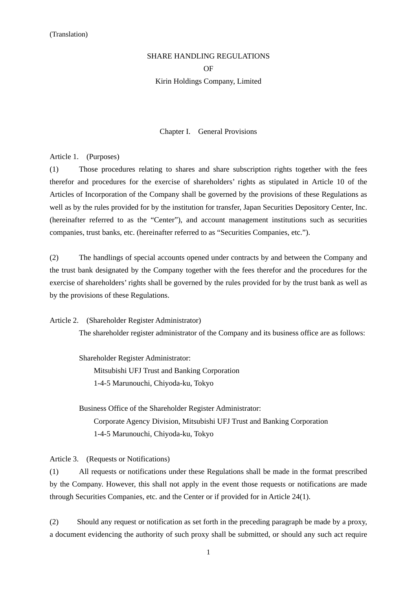# SHARE HANDLING REGULATIONS OF Kirin Holdings Company, Limited

Chapter I. General Provisions

Article 1. (Purposes)

(1) Those procedures relating to shares and share subscription rights together with the fees therefor and procedures for the exercise of shareholders' rights as stipulated in Article 10 of the Articles of Incorporation of the Company shall be governed by the provisions of these Regulations as well as by the rules provided for by the institution for transfer, Japan Securities Depository Center, Inc. (hereinafter referred to as the "Center"), and account management institutions such as securities companies, trust banks, etc. (hereinafter referred to as "Securities Companies, etc.").

(2) The handlings of special accounts opened under contracts by and between the Company and the trust bank designated by the Company together with the fees therefor and the procedures for the exercise of shareholders' rights shall be governed by the rules provided for by the trust bank as well as by the provisions of these Regulations.

Article 2. (Shareholder Register Administrator)

The shareholder register administrator of the Company and its business office are as follows:

Shareholder Register Administrator: Mitsubishi UFJ Trust and Banking Corporation 1-4-5 Marunouchi, Chiyoda-ku, Tokyo

Business Office of the Shareholder Register Administrator: Corporate Agency Division, Mitsubishi UFJ Trust and Banking Corporation 1-4-5 Marunouchi, Chiyoda-ku, Tokyo

Article 3. (Requests or Notifications)

(1) All requests or notifications under these Regulations shall be made in the format prescribed by the Company. However, this shall not apply in the event those requests or notifications are made through Securities Companies, etc. and the Center or if provided for in Article 24(1).

(2) Should any request or notification as set forth in the preceding paragraph be made by a proxy, a document evidencing the authority of such proxy shall be submitted, or should any such act require

1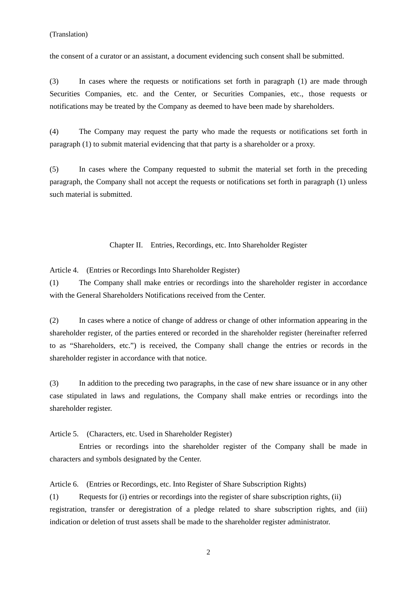the consent of a curator or an assistant, a document evidencing such consent shall be submitted.

(3) In cases where the requests or notifications set forth in paragraph (1) are made through Securities Companies, etc. and the Center, or Securities Companies, etc., those requests or notifications may be treated by the Company as deemed to have been made by shareholders.

(4) The Company may request the party who made the requests or notifications set forth in paragraph (1) to submit material evidencing that that party is a shareholder or a proxy.

(5) In cases where the Company requested to submit the material set forth in the preceding paragraph, the Company shall not accept the requests or notifications set forth in paragraph (1) unless such material is submitted.

Chapter II. Entries, Recordings, etc. Into Shareholder Register

Article 4. (Entries or Recordings Into Shareholder Register)

(1) The Company shall make entries or recordings into the shareholder register in accordance with the General Shareholders Notifications received from the Center.

(2) In cases where a notice of change of address or change of other information appearing in the shareholder register, of the parties entered or recorded in the shareholder register (hereinafter referred to as "Shareholders, etc.") is received, the Company shall change the entries or records in the shareholder register in accordance with that notice.

(3) In addition to the preceding two paragraphs, in the case of new share issuance or in any other case stipulated in laws and regulations, the Company shall make entries or recordings into the shareholder register.

Article 5. (Characters, etc. Used in Shareholder Register)

 Entries or recordings into the shareholder register of the Company shall be made in characters and symbols designated by the Center.

Article 6. (Entries or Recordings, etc. Into Register of Share Subscription Rights)

(1) Requests for (i) entries or recordings into the register of share subscription rights, (ii) registration, transfer or deregistration of a pledge related to share subscription rights, and (iii) indication or deletion of trust assets shall be made to the shareholder register administrator.

2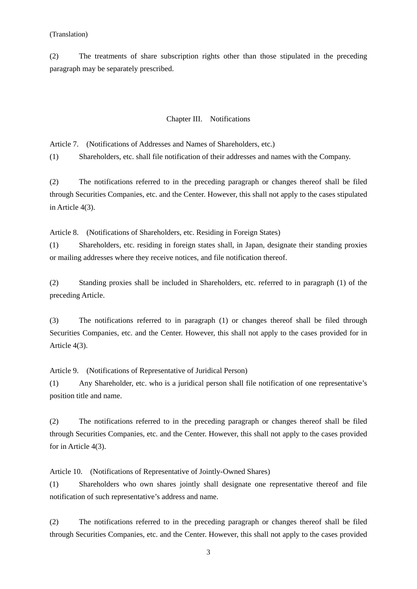(2) The treatments of share subscription rights other than those stipulated in the preceding paragraph may be separately prescribed.

# Chapter III. Notifications

Article 7. (Notifications of Addresses and Names of Shareholders, etc.)

(1) Shareholders, etc. shall file notification of their addresses and names with the Company.

(2) The notifications referred to in the preceding paragraph or changes thereof shall be filed through Securities Companies, etc. and the Center. However, this shall not apply to the cases stipulated in Article 4(3).

Article 8. (Notifications of Shareholders, etc. Residing in Foreign States)

(1) Shareholders, etc. residing in foreign states shall, in Japan, designate their standing proxies or mailing addresses where they receive notices, and file notification thereof.

(2) Standing proxies shall be included in Shareholders, etc. referred to in paragraph (1) of the preceding Article.

(3) The notifications referred to in paragraph (1) or changes thereof shall be filed through Securities Companies, etc. and the Center. However, this shall not apply to the cases provided for in Article 4(3).

Article 9. (Notifications of Representative of Juridical Person)

(1) Any Shareholder, etc. who is a juridical person shall file notification of one representative's position title and name.

(2) The notifications referred to in the preceding paragraph or changes thereof shall be filed through Securities Companies, etc. and the Center. However, this shall not apply to the cases provided for in Article 4(3).

Article 10. (Notifications of Representative of Jointly-Owned Shares)

(1) Shareholders who own shares jointly shall designate one representative thereof and file notification of such representative's address and name.

(2) The notifications referred to in the preceding paragraph or changes thereof shall be filed through Securities Companies, etc. and the Center. However, this shall not apply to the cases provided

3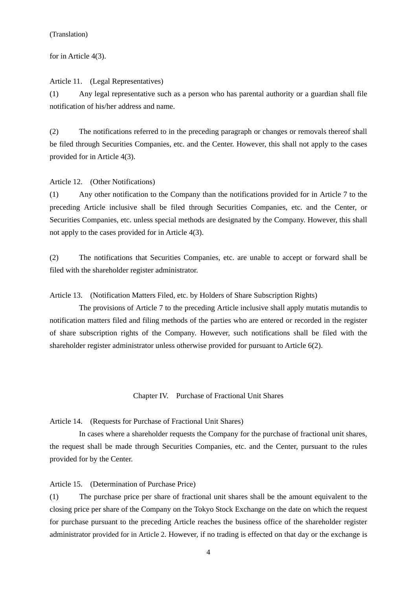for in Article 4(3).

Article 11. (Legal Representatives) (1) Any legal representative such as a person who has parental authority or a guardian shall file notification of his/her address and name.

(2) The notifications referred to in the preceding paragraph or changes or removals thereof shall be filed through Securities Companies, etc. and the Center. However, this shall not apply to the cases provided for in Article 4(3).

# Article 12. (Other Notifications)

(1) Any other notification to the Company than the notifications provided for in Article 7 to the preceding Article inclusive shall be filed through Securities Companies, etc. and the Center, or Securities Companies, etc. unless special methods are designated by the Company. However, this shall not apply to the cases provided for in Article 4(3).

(2) The notifications that Securities Companies, etc. are unable to accept or forward shall be filed with the shareholder register administrator.

Article 13. (Notification Matters Filed, etc. by Holders of Share Subscription Rights)

 The provisions of Article 7 to the preceding Article inclusive shall apply mutatis mutandis to notification matters filed and filing methods of the parties who are entered or recorded in the register of share subscription rights of the Company. However, such notifications shall be filed with the shareholder register administrator unless otherwise provided for pursuant to Article 6(2).

Chapter IV. Purchase of Fractional Unit Shares

Article 14. (Requests for Purchase of Fractional Unit Shares)

In cases where a shareholder requests the Company for the purchase of fractional unit shares, the request shall be made through Securities Companies, etc. and the Center, pursuant to the rules provided for by the Center.

Article 15. (Determination of Purchase Price)

(1) The purchase price per share of fractional unit shares shall be the amount equivalent to the closing price per share of the Company on the Tokyo Stock Exchange on the date on which the request for purchase pursuant to the preceding Article reaches the business office of the shareholder register administrator provided for in Article 2. However, if no trading is effected on that day or the exchange is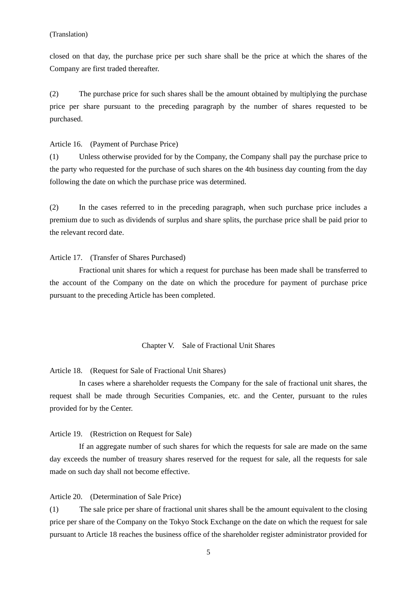closed on that day, the purchase price per such share shall be the price at which the shares of the Company are first traded thereafter.

(2) The purchase price for such shares shall be the amount obtained by multiplying the purchase price per share pursuant to the preceding paragraph by the number of shares requested to be purchased.

Article 16. (Payment of Purchase Price)

(1) Unless otherwise provided for by the Company, the Company shall pay the purchase price to the party who requested for the purchase of such shares on the 4th business day counting from the day following the date on which the purchase price was determined.

(2) In the cases referred to in the preceding paragraph, when such purchase price includes a premium due to such as dividends of surplus and share splits, the purchase price shall be paid prior to the relevant record date.

#### Article 17. (Transfer of Shares Purchased)

Fractional unit shares for which a request for purchase has been made shall be transferred to the account of the Company on the date on which the procedure for payment of purchase price pursuant to the preceding Article has been completed.

#### Chapter V. Sale of Fractional Unit Shares

Article 18. (Request for Sale of Fractional Unit Shares)

In cases where a shareholder requests the Company for the sale of fractional unit shares, the request shall be made through Securities Companies, etc. and the Center, pursuant to the rules provided for by the Center.

Article 19. (Restriction on Request for Sale)

If an aggregate number of such shares for which the requests for sale are made on the same day exceeds the number of treasury shares reserved for the request for sale, all the requests for sale made on such day shall not become effective.

Article 20. (Determination of Sale Price)

(1) The sale price per share of fractional unit shares shall be the amount equivalent to the closing price per share of the Company on the Tokyo Stock Exchange on the date on which the request for sale pursuant to Article 18 reaches the business office of the shareholder register administrator provided for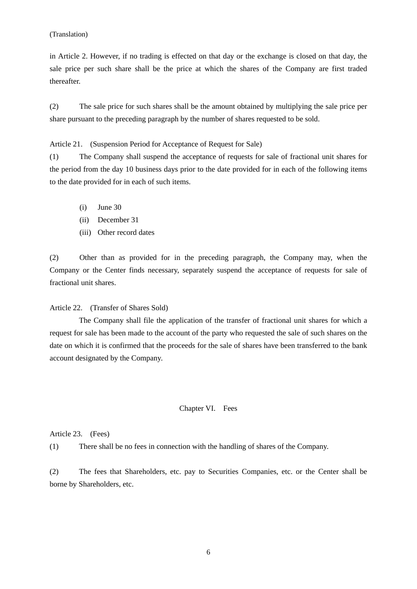in Article 2. However, if no trading is effected on that day or the exchange is closed on that day, the sale price per such share shall be the price at which the shares of the Company are first traded thereafter.

(2) The sale price for such shares shall be the amount obtained by multiplying the sale price per share pursuant to the preceding paragraph by the number of shares requested to be sold.

Article 21. (Suspension Period for Acceptance of Request for Sale)

(1) The Company shall suspend the acceptance of requests for sale of fractional unit shares for the period from the day 10 business days prior to the date provided for in each of the following items to the date provided for in each of such items.

- (i) June 30
- (ii) December 31
- (iii) Other record dates

(2) Other than as provided for in the preceding paragraph, the Company may, when the Company or the Center finds necessary, separately suspend the acceptance of requests for sale of fractional unit shares.

Article 22. (Transfer of Shares Sold)

 The Company shall file the application of the transfer of fractional unit shares for which a request for sale has been made to the account of the party who requested the sale of such shares on the date on which it is confirmed that the proceeds for the sale of shares have been transferred to the bank account designated by the Company.

#### Chapter VI. Fees

Article 23. (Fees)

(1) There shall be no fees in connection with the handling of shares of the Company.

(2) The fees that Shareholders, etc. pay to Securities Companies, etc. or the Center shall be borne by Shareholders, etc.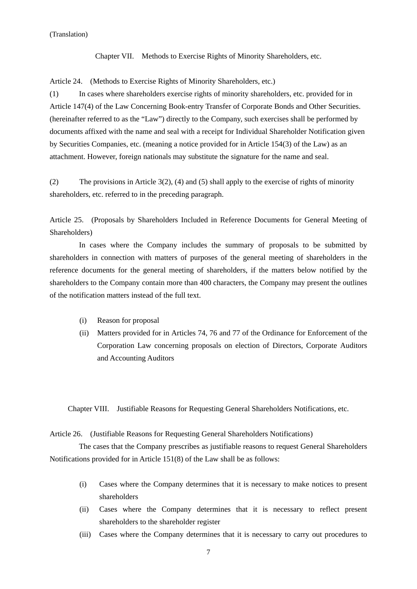Chapter VII. Methods to Exercise Rights of Minority Shareholders, etc.

Article 24. (Methods to Exercise Rights of Minority Shareholders, etc.)

(1) In cases where shareholders exercise rights of minority shareholders, etc. provided for in Article 147(4) of the Law Concerning Book-entry Transfer of Corporate Bonds and Other Securities. (hereinafter referred to as the "Law") directly to the Company, such exercises shall be performed by documents affixed with the name and seal with a receipt for Individual Shareholder Notification given by Securities Companies, etc. (meaning a notice provided for in Article 154(3) of the Law) as an attachment. However, foreign nationals may substitute the signature for the name and seal.

(2) The provisions in Article 3(2), (4) and (5) shall apply to the exercise of rights of minority shareholders, etc. referred to in the preceding paragraph.

Article 25. (Proposals by Shareholders Included in Reference Documents for General Meeting of Shareholders)

 In cases where the Company includes the summary of proposals to be submitted by shareholders in connection with matters of purposes of the general meeting of shareholders in the reference documents for the general meeting of shareholders, if the matters below notified by the shareholders to the Company contain more than 400 characters, the Company may present the outlines of the notification matters instead of the full text.

- (i) Reason for proposal
- (ii) Matters provided for in Articles 74, 76 and 77 of the Ordinance for Enforcement of the Corporation Law concerning proposals on election of Directors, Corporate Auditors and Accounting Auditors

Chapter VIII. Justifiable Reasons for Requesting General Shareholders Notifications, etc.

#### Article 26. (Justifiable Reasons for Requesting General Shareholders Notifications)

The cases that the Company prescribes as justifiable reasons to request General Shareholders Notifications provided for in Article 151(8) of the Law shall be as follows:

- (i) Cases where the Company determines that it is necessary to make notices to present shareholders
- (ii) Cases where the Company determines that it is necessary to reflect present shareholders to the shareholder register
- (iii) Cases where the Company determines that it is necessary to carry out procedures to